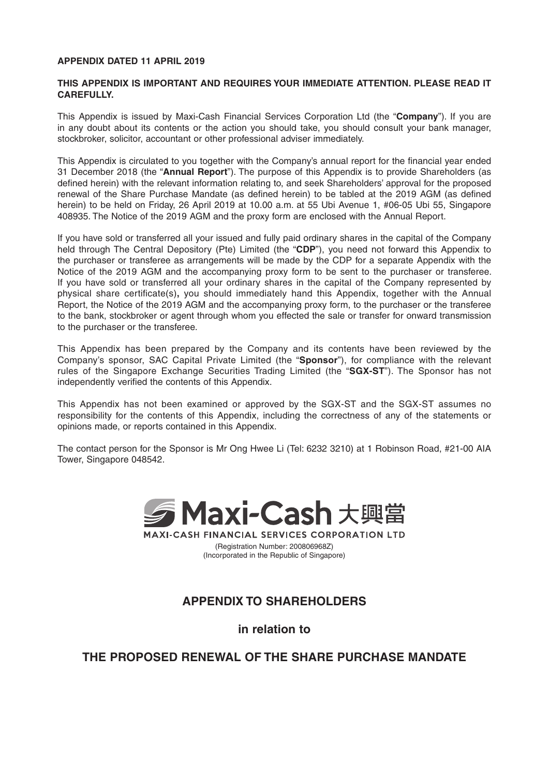#### **APPENDIX DATED 11 APRIL 2019**

#### **THIS APPENDIX IS IMPORTANT AND REQUIRES YOUR IMMEDIATE ATTENTION. PLEASE READ IT CAREFULLY.**

This Appendix is issued by Maxi-Cash Financial Services Corporation Ltd (the "**Company**"). If you are in any doubt about its contents or the action you should take, you should consult your bank manager, stockbroker, solicitor, accountant or other professional adviser immediately.

This Appendix is circulated to you together with the Company's annual report for the financial year ended 31 December 2018 (the "**Annual Report**"). The purpose of this Appendix is to provide Shareholders (as defined herein) with the relevant information relating to, and seek Shareholders' approval for the proposed renewal of the Share Purchase Mandate (as defined herein) to be tabled at the 2019 AGM (as defined herein) to be held on Friday, 26 April 2019 at 10.00 a.m. at 55 Ubi Avenue 1, #06-05 Ubi 55, Singapore 408935. The Notice of the 2019 AGM and the proxy form are enclosed with the Annual Report.

If you have sold or transferred all your issued and fully paid ordinary shares in the capital of the Company held through The Central Depository (Pte) Limited (the "**CDP**"), you need not forward this Appendix to the purchaser or transferee as arrangements will be made by the CDP for a separate Appendix with the Notice of the 2019 AGM and the accompanying proxy form to be sent to the purchaser or transferee. If you have sold or transferred all your ordinary shares in the capital of the Company represented by physical share certificate(s), you should immediately hand this Appendix, together with the Annual Report, the Notice of the 2019 AGM and the accompanying proxy form, to the purchaser or the transferee to the bank, stockbroker or agent through whom you effected the sale or transfer for onward transmission to the purchaser or the transferee.

This Appendix has been prepared by the Company and its contents have been reviewed by the Company's sponsor, SAC Capital Private Limited (the "**Sponsor**"), for compliance with the relevant rules of the Singapore Exchange Securities Trading Limited (the "**SGX-ST**"). The Sponsor has not independently verified the contents of this Appendix.

This Appendix has not been examined or approved by the SGX-ST and the SGX-ST assumes no responsibility for the contents of this Appendix, including the correctness of any of the statements or opinions made, or reports contained in this Appendix.

The contact person for the Sponsor is Mr Ong Hwee Li (Tel: 6232 3210) at 1 Robinson Road, #21-00 AIA Tower, Singapore 048542.



**MAXI-CASH FINANCIAL SERVICES CORPORATION LTD** (Registration Number: 200806968Z) (Incorporated in the Republic of Singapore)

# **APPENDIX TO SHAREHOLDERS**

**in relation to**

# **THE PROPOSED RENEWAL OF THE SHARE PURCHASE MANDATE**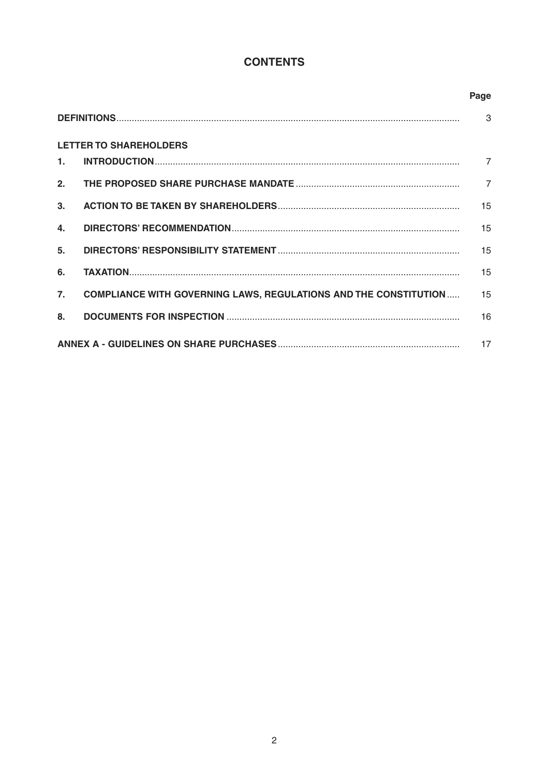# **CONTENTS**

|                               |                                                                          | Page           |  |  |  |  |
|-------------------------------|--------------------------------------------------------------------------|----------------|--|--|--|--|
|                               |                                                                          | 3              |  |  |  |  |
| <b>LETTER TO SHAREHOLDERS</b> |                                                                          |                |  |  |  |  |
| 1.                            |                                                                          |                |  |  |  |  |
| 2.                            |                                                                          | $\overline{7}$ |  |  |  |  |
| 3 <sub>1</sub>                |                                                                          | 15             |  |  |  |  |
| 4.                            |                                                                          | 15             |  |  |  |  |
| 5 <sub>1</sub>                |                                                                          | 15             |  |  |  |  |
| 6.                            |                                                                          | 15             |  |  |  |  |
| 7.                            | <b>COMPLIANCE WITH GOVERNING LAWS, REGULATIONS AND THE CONSTITUTION </b> | 15             |  |  |  |  |
| 8.                            |                                                                          | 16             |  |  |  |  |
|                               |                                                                          |                |  |  |  |  |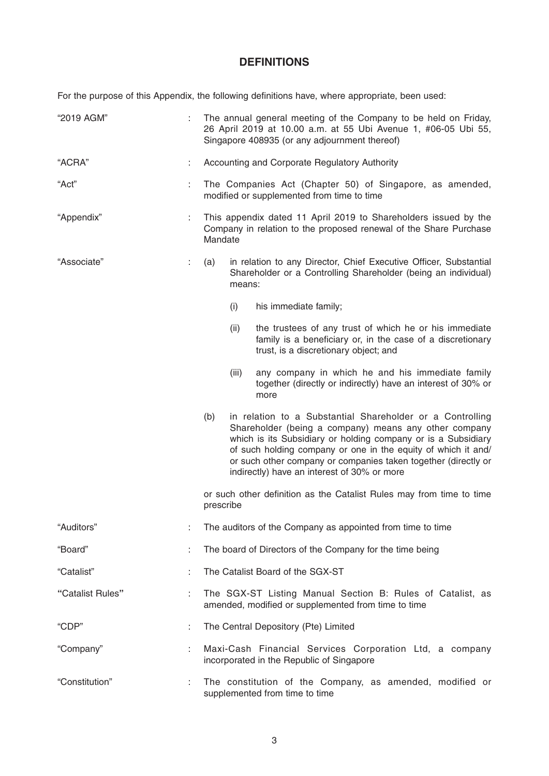# **DEFINITIONS**

For the purpose of this Appendix, the following definitions have, where appropriate, been used:

| "2019 AGM"       |                                                    | The annual general meeting of the Company to be held on Friday,<br>26 April 2019 at 10.00 a.m. at 55 Ubi Avenue 1, #06-05 Ubi 55,<br>Singapore 408935 (or any adjournment thereof) |                                                                                                                                                                                                                                                                                                                        |                                                                                                                                                               |  |  |
|------------------|----------------------------------------------------|------------------------------------------------------------------------------------------------------------------------------------------------------------------------------------|------------------------------------------------------------------------------------------------------------------------------------------------------------------------------------------------------------------------------------------------------------------------------------------------------------------------|---------------------------------------------------------------------------------------------------------------------------------------------------------------|--|--|
| "ACRA"           |                                                    | Accounting and Corporate Regulatory Authority                                                                                                                                      |                                                                                                                                                                                                                                                                                                                        |                                                                                                                                                               |  |  |
| "Act"            |                                                    | The Companies Act (Chapter 50) of Singapore, as amended,<br>modified or supplemented from time to time                                                                             |                                                                                                                                                                                                                                                                                                                        |                                                                                                                                                               |  |  |
| "Appendix"       |                                                    | This appendix dated 11 April 2019 to Shareholders issued by the<br>Company in relation to the proposed renewal of the Share Purchase<br>Mandate                                    |                                                                                                                                                                                                                                                                                                                        |                                                                                                                                                               |  |  |
| "Associate"      | t,                                                 | in relation to any Director, Chief Executive Officer, Substantial<br>(a)<br>Shareholder or a Controlling Shareholder (being an individual)<br>means:                               |                                                                                                                                                                                                                                                                                                                        |                                                                                                                                                               |  |  |
|                  |                                                    |                                                                                                                                                                                    | (i)                                                                                                                                                                                                                                                                                                                    | his immediate family;                                                                                                                                         |  |  |
|                  |                                                    |                                                                                                                                                                                    | (ii)                                                                                                                                                                                                                                                                                                                   | the trustees of any trust of which he or his immediate<br>family is a beneficiary or, in the case of a discretionary<br>trust, is a discretionary object; and |  |  |
|                  |                                                    |                                                                                                                                                                                    | (iii)                                                                                                                                                                                                                                                                                                                  | any company in which he and his immediate family<br>together (directly or indirectly) have an interest of 30% or<br>more                                      |  |  |
|                  | (b)<br>indirectly) have an interest of 30% or more |                                                                                                                                                                                    | in relation to a Substantial Shareholder or a Controlling<br>Shareholder (being a company) means any other company<br>which is its Subsidiary or holding company or is a Subsidiary<br>of such holding company or one in the equity of which it and/<br>or such other company or companies taken together (directly or |                                                                                                                                                               |  |  |
|                  |                                                    | prescribe                                                                                                                                                                          | or such other definition as the Catalist Rules may from time to time                                                                                                                                                                                                                                                   |                                                                                                                                                               |  |  |
| "Auditors"       |                                                    | The auditors of the Company as appointed from time to time                                                                                                                         |                                                                                                                                                                                                                                                                                                                        |                                                                                                                                                               |  |  |
| "Board"          |                                                    | The board of Directors of the Company for the time being                                                                                                                           |                                                                                                                                                                                                                                                                                                                        |                                                                                                                                                               |  |  |
| "Catalist"       |                                                    | The Catalist Board of the SGX-ST                                                                                                                                                   |                                                                                                                                                                                                                                                                                                                        |                                                                                                                                                               |  |  |
| "Catalist Rules" | t.                                                 | The SGX-ST Listing Manual Section B: Rules of Catalist, as<br>amended, modified or supplemented from time to time                                                                  |                                                                                                                                                                                                                                                                                                                        |                                                                                                                                                               |  |  |
| "CDP"            | ÷                                                  | The Central Depository (Pte) Limited                                                                                                                                               |                                                                                                                                                                                                                                                                                                                        |                                                                                                                                                               |  |  |
| "Company"        | ÷.                                                 | Maxi-Cash Financial Services Corporation Ltd, a company<br>incorporated in the Republic of Singapore                                                                               |                                                                                                                                                                                                                                                                                                                        |                                                                                                                                                               |  |  |
| "Constitution"   | ÷.                                                 | The constitution of the Company, as amended, modified or<br>supplemented from time to time                                                                                         |                                                                                                                                                                                                                                                                                                                        |                                                                                                                                                               |  |  |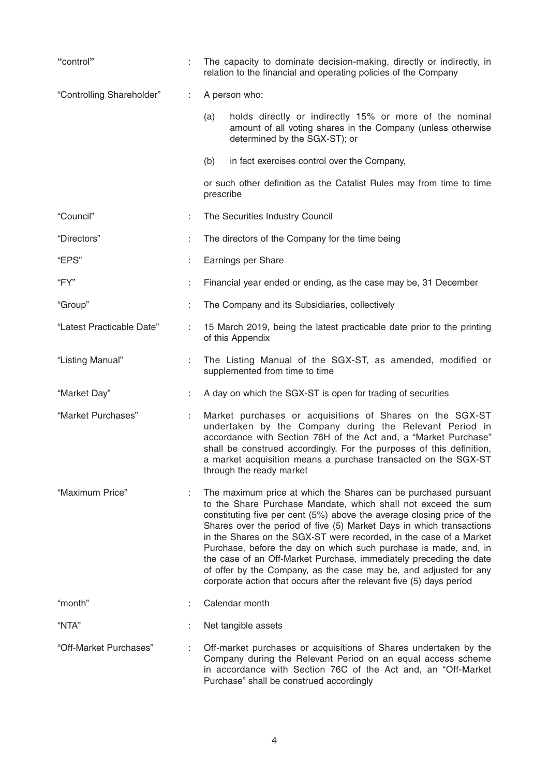| "control"                 | ÷. | The capacity to dominate decision-making, directly or indirectly, in<br>relation to the financial and operating policies of the Company                                                                                                                                                                                                                                                                                                                                                                                                                                                                                                         |  |  |  |
|---------------------------|----|-------------------------------------------------------------------------------------------------------------------------------------------------------------------------------------------------------------------------------------------------------------------------------------------------------------------------------------------------------------------------------------------------------------------------------------------------------------------------------------------------------------------------------------------------------------------------------------------------------------------------------------------------|--|--|--|
| "Controlling Shareholder" |    | A person who:                                                                                                                                                                                                                                                                                                                                                                                                                                                                                                                                                                                                                                   |  |  |  |
|                           |    | holds directly or indirectly 15% or more of the nominal<br>(a)<br>amount of all voting shares in the Company (unless otherwise<br>determined by the SGX-ST); or                                                                                                                                                                                                                                                                                                                                                                                                                                                                                 |  |  |  |
|                           |    | (b)<br>in fact exercises control over the Company,                                                                                                                                                                                                                                                                                                                                                                                                                                                                                                                                                                                              |  |  |  |
|                           |    | or such other definition as the Catalist Rules may from time to time<br>prescribe                                                                                                                                                                                                                                                                                                                                                                                                                                                                                                                                                               |  |  |  |
| "Council"                 | ÷. | The Securities Industry Council                                                                                                                                                                                                                                                                                                                                                                                                                                                                                                                                                                                                                 |  |  |  |
| "Directors"               |    | The directors of the Company for the time being                                                                                                                                                                                                                                                                                                                                                                                                                                                                                                                                                                                                 |  |  |  |
| "EPS"                     | t. | Earnings per Share                                                                                                                                                                                                                                                                                                                                                                                                                                                                                                                                                                                                                              |  |  |  |
| "FY"                      | ÷. | Financial year ended or ending, as the case may be, 31 December                                                                                                                                                                                                                                                                                                                                                                                                                                                                                                                                                                                 |  |  |  |
| "Group"                   | ÷. | The Company and its Subsidiaries, collectively                                                                                                                                                                                                                                                                                                                                                                                                                                                                                                                                                                                                  |  |  |  |
| "Latest Practicable Date" | t. | 15 March 2019, being the latest practicable date prior to the printing<br>of this Appendix                                                                                                                                                                                                                                                                                                                                                                                                                                                                                                                                                      |  |  |  |
| "Listing Manual"          | ÷. | The Listing Manual of the SGX-ST, as amended, modified or<br>supplemented from time to time                                                                                                                                                                                                                                                                                                                                                                                                                                                                                                                                                     |  |  |  |
| "Market Day"              | ÷. | A day on which the SGX-ST is open for trading of securities                                                                                                                                                                                                                                                                                                                                                                                                                                                                                                                                                                                     |  |  |  |
| "Market Purchases"        | t. | Market purchases or acquisitions of Shares on the SGX-ST<br>undertaken by the Company during the Relevant Period in<br>accordance with Section 76H of the Act and, a "Market Purchase"<br>shall be construed accordingly. For the purposes of this definition,<br>a market acquisition means a purchase transacted on the SGX-ST<br>through the ready market                                                                                                                                                                                                                                                                                    |  |  |  |
| "Maximum Price"           | ÷  | The maximum price at which the Shares can be purchased pursuant<br>to the Share Purchase Mandate, which shall not exceed the sum<br>constituting five per cent (5%) above the average closing price of the<br>Shares over the period of five (5) Market Days in which transactions<br>in the Shares on the SGX-ST were recorded, in the case of a Market<br>Purchase, before the day on which such purchase is made, and, in<br>the case of an Off-Market Purchase, immediately preceding the date<br>of offer by the Company, as the case may be, and adjusted for any<br>corporate action that occurs after the relevant five (5) days period |  |  |  |
| "month"                   | ÷  | Calendar month                                                                                                                                                                                                                                                                                                                                                                                                                                                                                                                                                                                                                                  |  |  |  |
| "NTA"                     |    | Net tangible assets                                                                                                                                                                                                                                                                                                                                                                                                                                                                                                                                                                                                                             |  |  |  |
| "Off-Market Purchases"    |    | Off-market purchases or acquisitions of Shares undertaken by the<br>Company during the Relevant Period on an equal access scheme<br>in accordance with Section 76C of the Act and, an "Off-Market<br>Purchase" shall be construed accordingly                                                                                                                                                                                                                                                                                                                                                                                                   |  |  |  |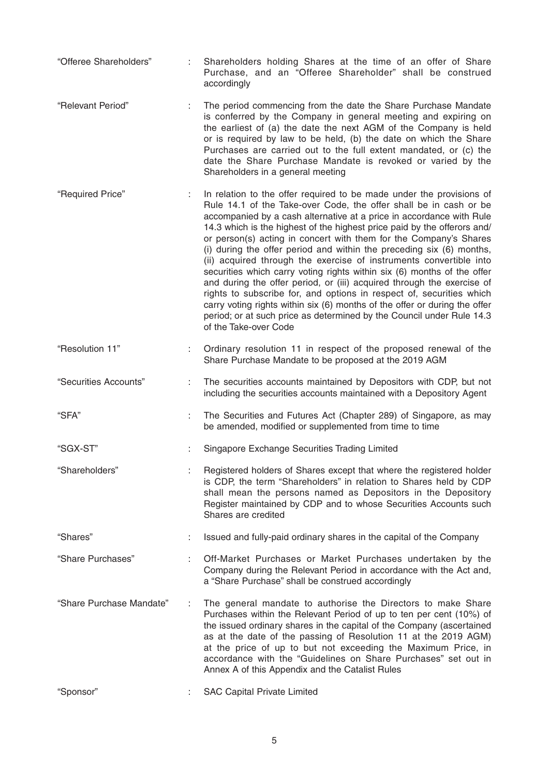- "Offeree Shareholders" : Shareholders holding Shares at the time of an offer of Share Purchase, and an "Offeree Shareholder" shall be construed accordingly
- "Relevant Period" : The period commencing from the date the Share Purchase Mandate is conferred by the Company in general meeting and expiring on the earliest of (a) the date the next AGM of the Company is held or is required by law to be held, (b) the date on which the Share Purchases are carried out to the full extent mandated, or (c) the date the Share Purchase Mandate is revoked or varied by the Shareholders in a general meeting
- "Required Price" : In relation to the offer required to be made under the provisions of Rule 14.1 of the Take-over Code, the offer shall be in cash or be accompanied by a cash alternative at a price in accordance with Rule 14.3 which is the highest of the highest price paid by the offerors and/ or person(s) acting in concert with them for the Company's Shares (i) during the offer period and within the preceding six (6) months, (ii) acquired through the exercise of instruments convertible into securities which carry voting rights within six (6) months of the offer and during the offer period, or (iii) acquired through the exercise of rights to subscribe for, and options in respect of, securities which carry voting rights within six (6) months of the offer or during the offer period; or at such price as determined by the Council under Rule 14.3 of the Take-over Code
- "Resolution 11" : Ordinary resolution 11 in respect of the proposed renewal of the Share Purchase Mandate to be proposed at the 2019 AGM
- "Securities Accounts" : The securities accounts maintained by Depositors with CDP, but not including the securities accounts maintained with a Depository Agent
- "SFA" : The Securities and Futures Act (Chapter 289) of Singapore, as may be amended, modified or supplemented from time to time
- "SGX-ST" : Singapore Exchange Securities Trading Limited
- "Shareholders" : Registered holders of Shares except that where the registered holder is CDP, the term "Shareholders" in relation to Shares held by CDP shall mean the persons named as Depositors in the Depository Register maintained by CDP and to whose Securities Accounts such Shares are credited
- "Shares" : Issued and fully-paid ordinary shares in the capital of the Company
- "Share Purchases" : Off-Market Purchases or Market Purchases undertaken by the Company during the Relevant Period in accordance with the Act and, a "Share Purchase" shall be construed accordingly
- "Share Purchase Mandate" : The general mandate to authorise the Directors to make Share Purchases within the Relevant Period of up to ten per cent (10%) of the issued ordinary shares in the capital of the Company (ascertained as at the date of the passing of Resolution 11 at the 2019 AGM) at the price of up to but not exceeding the Maximum Price, in accordance with the "Guidelines on Share Purchases" set out in Annex A of this Appendix and the Catalist Rules
- "Sponsor" : SAC Capital Private Limited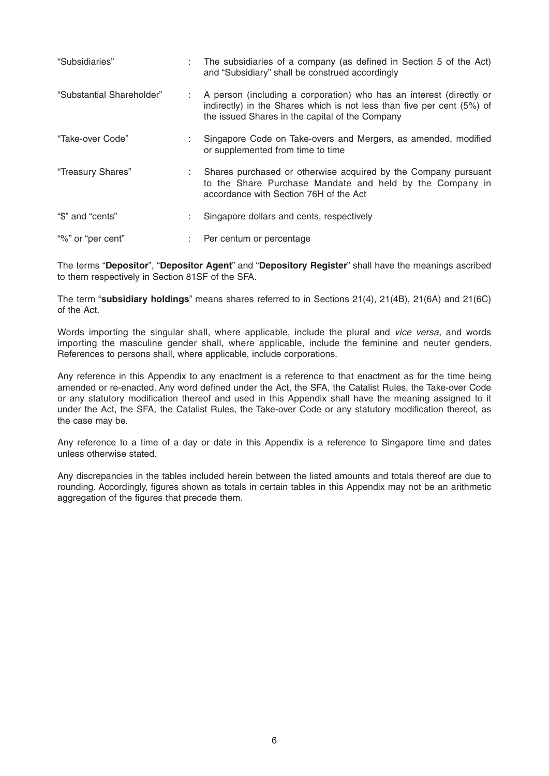| "Subsidiaries"            | The subsidiaries of a company (as defined in Section 5 of the Act)<br>and "Subsidiary" shall be construed accordingly                                                                            |
|---------------------------|--------------------------------------------------------------------------------------------------------------------------------------------------------------------------------------------------|
| "Substantial Shareholder" | A person (including a corporation) who has an interest (directly or<br>indirectly) in the Shares which is not less than five per cent (5%) of<br>the issued Shares in the capital of the Company |
| "Take-over Code"          | Singapore Code on Take-overs and Mergers, as amended, modified<br>or supplemented from time to time                                                                                              |
| "Treasury Shares"         | Shares purchased or otherwise acquired by the Company pursuant<br>to the Share Purchase Mandate and held by the Company in<br>accordance with Section 76H of the Act                             |
| "\$" and "cents"          | Singapore dollars and cents, respectively                                                                                                                                                        |
| "%" or "per cent"         | Per centum or percentage                                                                                                                                                                         |

The terms "**Depositor**", "**Depositor Agent**" and "**Depository Register**" shall have the meanings ascribed to them respectively in Section 81SF of the SFA.

The term "**subsidiary holdings**" means shares referred to in Sections 21(4), 21(4B), 21(6A) and 21(6C) of the Act.

Words importing the singular shall, where applicable, include the plural and *vice versa*, and words importing the masculine gender shall, where applicable, include the feminine and neuter genders. References to persons shall, where applicable, include corporations.

Any reference in this Appendix to any enactment is a reference to that enactment as for the time being amended or re-enacted. Any word defined under the Act, the SFA, the Catalist Rules, the Take-over Code or any statutory modification thereof and used in this Appendix shall have the meaning assigned to it under the Act, the SFA, the Catalist Rules, the Take-over Code or any statutory modification thereof, as the case may be.

Any reference to a time of a day or date in this Appendix is a reference to Singapore time and dates unless otherwise stated.

Any discrepancies in the tables included herein between the listed amounts and totals thereof are due to rounding. Accordingly, figures shown as totals in certain tables in this Appendix may not be an arithmetic aggregation of the figures that precede them.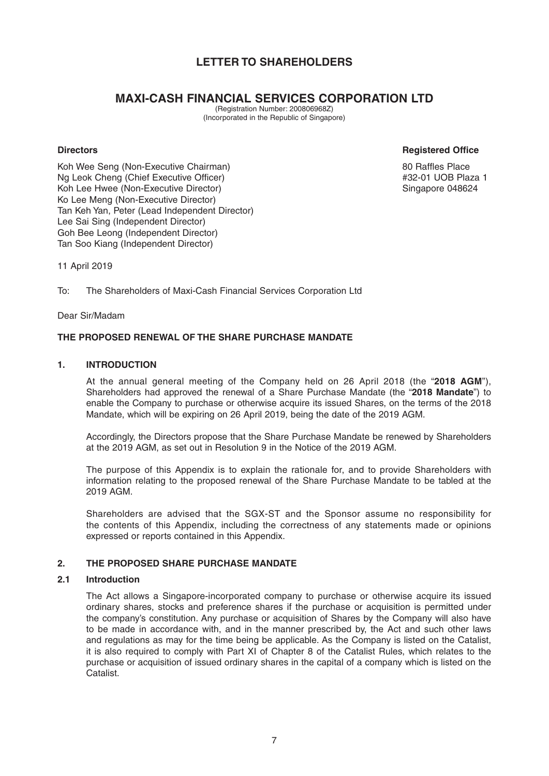# **LETTER TO SHAREHOLDERS**

# **MAXI-CASH FINANCIAL SERVICES CORPORATION LTD**

(Registration Number: 200806968Z) (Incorporated in the Republic of Singapore)

#### **Directors Registered Office**

Koh Wee Seng (Non-Executive Chairman) 80 Raffles Place Ng Leok Cheng (Chief Executive Officer)  $#32-01$  UOB Plaza 1 Koh Lee Hwee (Non-Executive Director) Singapore 048624 Ko Lee Meng (Non-Executive Director) Tan Keh Yan, Peter (Lead Independent Director) Lee Sai Sing (Independent Director) Goh Bee Leong (Independent Director) Tan Soo Kiang (Independent Director)

11 April 2019

To: The Shareholders of Maxi-Cash Financial Services Corporation Ltd

Dear Sir/Madam

## **THE PROPOSED RENEWAL OF THE SHARE PURCHASE MANDATE**

#### **1. INTRODUCTION**

 At the annual general meeting of the Company held on 26 April 2018 (the "**2018 AGM**"), Shareholders had approved the renewal of a Share Purchase Mandate (the "**2018 Mandate**") to enable the Company to purchase or otherwise acquire its issued Shares, on the terms of the 2018 Mandate, which will be expiring on 26 April 2019, being the date of the 2019 AGM.

 Accordingly, the Directors propose that the Share Purchase Mandate be renewed by Shareholders at the 2019 AGM, as set out in Resolution 9 in the Notice of the 2019 AGM.

 The purpose of this Appendix is to explain the rationale for, and to provide Shareholders with information relating to the proposed renewal of the Share Purchase Mandate to be tabled at the 2019 AGM.

 Shareholders are advised that the SGX-ST and the Sponsor assume no responsibility for the contents of this Appendix, including the correctness of any statements made or opinions expressed or reports contained in this Appendix.

# **2. THE PROPOSED SHARE PURCHASE MANDATE**

#### **2.1 Introduction**

 The Act allows a Singapore-incorporated company to purchase or otherwise acquire its issued ordinary shares, stocks and preference shares if the purchase or acquisition is permitted under the company's constitution. Any purchase or acquisition of Shares by the Company will also have to be made in accordance with, and in the manner prescribed by, the Act and such other laws and regulations as may for the time being be applicable. As the Company is listed on the Catalist, it is also required to comply with Part XI of Chapter 8 of the Catalist Rules, which relates to the purchase or acquisition of issued ordinary shares in the capital of a company which is listed on the **Catalist**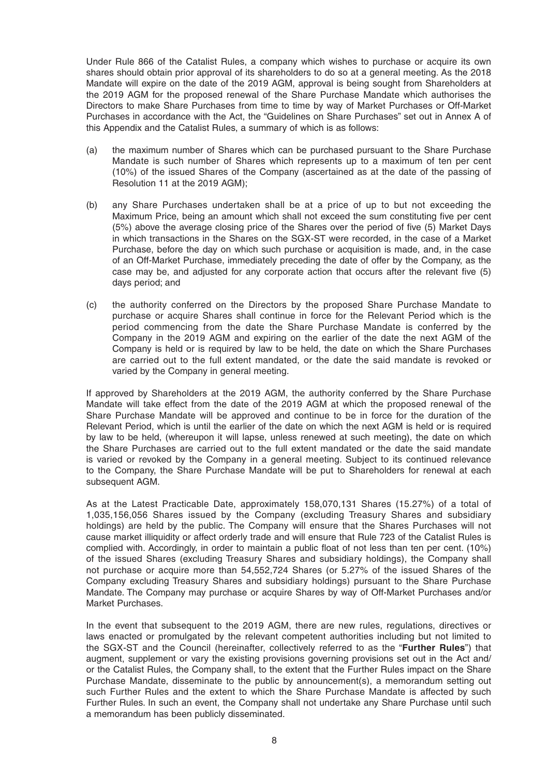Under Rule 866 of the Catalist Rules, a company which wishes to purchase or acquire its own shares should obtain prior approval of its shareholders to do so at a general meeting. As the 2018 Mandate will expire on the date of the 2019 AGM, approval is being sought from Shareholders at the 2019 AGM for the proposed renewal of the Share Purchase Mandate which authorises the Directors to make Share Purchases from time to time by way of Market Purchases or Off-Market Purchases in accordance with the Act, the "Guidelines on Share Purchases" set out in Annex A of this Appendix and the Catalist Rules, a summary of which is as follows:

- (a) the maximum number of Shares which can be purchased pursuant to the Share Purchase Mandate is such number of Shares which represents up to a maximum of ten per cent (10%) of the issued Shares of the Company (ascertained as at the date of the passing of Resolution 11 at the 2019 AGM);
- (b) any Share Purchases undertaken shall be at a price of up to but not exceeding the Maximum Price, being an amount which shall not exceed the sum constituting five per cent (5%) above the average closing price of the Shares over the period of five (5) Market Days in which transactions in the Shares on the SGX-ST were recorded, in the case of a Market Purchase, before the day on which such purchase or acquisition is made, and, in the case of an Off-Market Purchase, immediately preceding the date of offer by the Company, as the case may be, and adjusted for any corporate action that occurs after the relevant five  $(5)$ days period; and
- (c) the authority conferred on the Directors by the proposed Share Purchase Mandate to purchase or acquire Shares shall continue in force for the Relevant Period which is the period commencing from the date the Share Purchase Mandate is conferred by the Company in the 2019 AGM and expiring on the earlier of the date the next AGM of the Company is held or is required by law to be held, the date on which the Share Purchases are carried out to the full extent mandated, or the date the said mandate is revoked or varied by the Company in general meeting.

 If approved by Shareholders at the 2019 AGM, the authority conferred by the Share Purchase Mandate will take effect from the date of the 2019 AGM at which the proposed renewal of the Share Purchase Mandate will be approved and continue to be in force for the duration of the Relevant Period, which is until the earlier of the date on which the next AGM is held or is required by law to be held, (whereupon it will lapse, unless renewed at such meeting), the date on which the Share Purchases are carried out to the full extent mandated or the date the said mandate is varied or revoked by the Company in a general meeting. Subject to its continued relevance to the Company, the Share Purchase Mandate will be put to Shareholders for renewal at each subsequent AGM.

 As at the Latest Practicable Date, approximately 158,070,131 Shares (15.27%) of a total of 1,035,156,056 Shares issued by the Company (excluding Treasury Shares and subsidiary holdings) are held by the public. The Company will ensure that the Shares Purchases will not cause market illiquidity or affect orderly trade and will ensure that Rule 723 of the Catalist Rules is complied with. Accordingly, in order to maintain a public float of not less than ten per cent. (10%) of the issued Shares (excluding Treasury Shares and subsidiary holdings), the Company shall not purchase or acquire more than 54,552,724 Shares (or 5.27% of the issued Shares of the Company excluding Treasury Shares and subsidiary holdings) pursuant to the Share Purchase Mandate. The Company may purchase or acquire Shares by way of Off-Market Purchases and/or Market Purchases.

 In the event that subsequent to the 2019 AGM, there are new rules, regulations, directives or laws enacted or promulgated by the relevant competent authorities including but not limited to the SGX-ST and the Council (hereinafter, collectively referred to as the "**Further Rules**") that augment, supplement or vary the existing provisions governing provisions set out in the Act and/ or the Catalist Rules, the Company shall, to the extent that the Further Rules impact on the Share Purchase Mandate, disseminate to the public by announcement(s), a memorandum setting out such Further Rules and the extent to which the Share Purchase Mandate is affected by such Further Rules. In such an event, the Company shall not undertake any Share Purchase until such a memorandum has been publicly disseminated.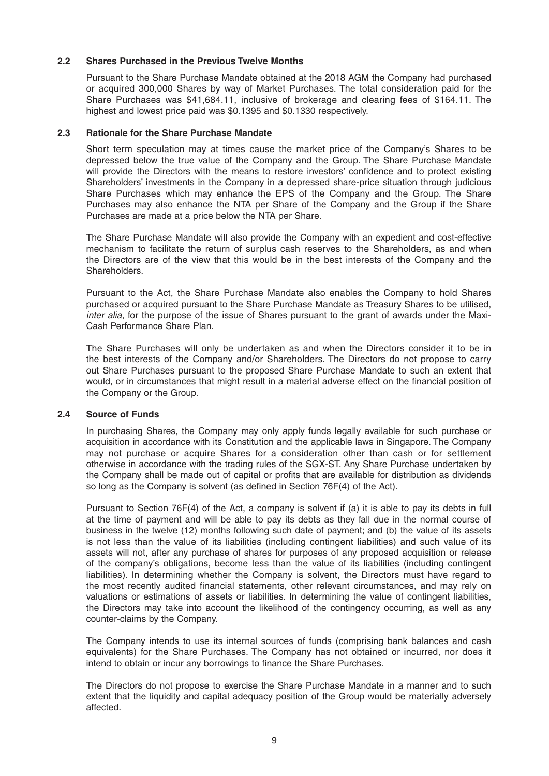#### **2.2 Shares Purchased in the Previous Twelve Months**

 Pursuant to the Share Purchase Mandate obtained at the 2018 AGM the Company had purchased or acquired 300,000 Shares by way of Market Purchases. The total consideration paid for the Share Purchases was \$41,684.11, inclusive of brokerage and clearing fees of \$164.11. The highest and lowest price paid was \$0.1395 and \$0.1330 respectively.

#### **2.3 Rationale for the Share Purchase Mandate**

 Short term speculation may at times cause the market price of the Company's Shares to be depressed below the true value of the Company and the Group. The Share Purchase Mandate will provide the Directors with the means to restore investors' confidence and to protect existing Shareholders' investments in the Company in a depressed share-price situation through judicious Share Purchases which may enhance the EPS of the Company and the Group. The Share Purchases may also enhance the NTA per Share of the Company and the Group if the Share Purchases are made at a price below the NTA per Share.

 The Share Purchase Mandate will also provide the Company with an expedient and cost-effective mechanism to facilitate the return of surplus cash reserves to the Shareholders, as and when the Directors are of the view that this would be in the best interests of the Company and the **Shareholders** 

 Pursuant to the Act, the Share Purchase Mandate also enables the Company to hold Shares purchased or acquired pursuant to the Share Purchase Mandate as Treasury Shares to be utilised, *inter alia*, for the purpose of the issue of Shares pursuant to the grant of awards under the Maxi-Cash Performance Share Plan.

 The Share Purchases will only be undertaken as and when the Directors consider it to be in the best interests of the Company and/or Shareholders. The Directors do not propose to carry out Share Purchases pursuant to the proposed Share Purchase Mandate to such an extent that would, or in circumstances that might result in a material adverse effect on the financial position of the Company or the Group.

#### **2.4 Source of Funds**

In purchasing Shares, the Company may only apply funds legally available for such purchase or acquisition in accordance with its Constitution and the applicable laws in Singapore. The Company may not purchase or acquire Shares for a consideration other than cash or for settlement otherwise in accordance with the trading rules of the SGX-ST. Any Share Purchase undertaken by the Company shall be made out of capital or profits that are available for distribution as dividends so long as the Company is solvent (as defined in Section  $76F(4)$  of the Act).

 Pursuant to Section 76F(4) of the Act, a company is solvent if (a) it is able to pay its debts in full at the time of payment and will be able to pay its debts as they fall due in the normal course of business in the twelve (12) months following such date of payment; and (b) the value of its assets is not less than the value of its liabilities (including contingent liabilities) and such value of its assets will not, after any purchase of shares for purposes of any proposed acquisition or release of the company's obligations, become less than the value of its liabilities (including contingent liabilities). In determining whether the Company is solvent, the Directors must have regard to the most recently audited financial statements, other relevant circumstances, and may rely on valuations or estimations of assets or liabilities. In determining the value of contingent liabilities, the Directors may take into account the likelihood of the contingency occurring, as well as any counter-claims by the Company.

 The Company intends to use its internal sources of funds (comprising bank balances and cash equivalents) for the Share Purchases. The Company has not obtained or incurred, nor does it intend to obtain or incur any borrowings to finance the Share Purchases.

 The Directors do not propose to exercise the Share Purchase Mandate in a manner and to such extent that the liquidity and capital adequacy position of the Group would be materially adversely affected.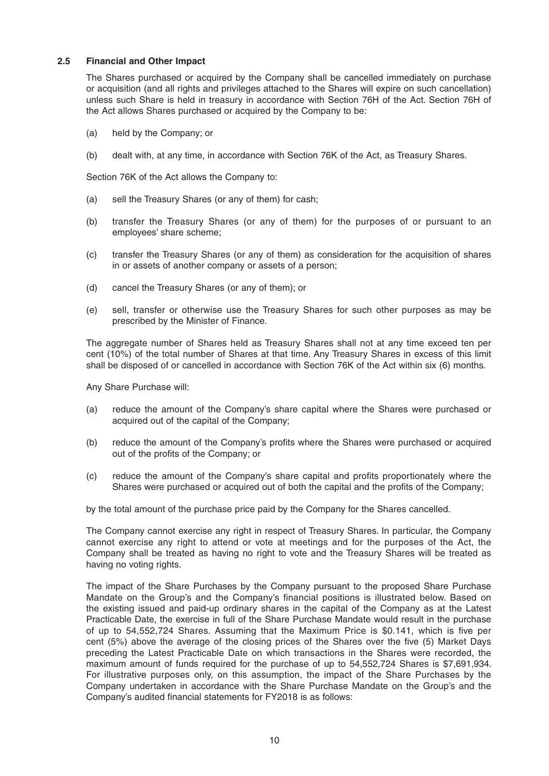#### **2.5 Financial and Other Impact**

 The Shares purchased or acquired by the Company shall be cancelled immediately on purchase or acquisition (and all rights and privileges attached to the Shares will expire on such cancellation) unless such Share is held in treasury in accordance with Section 76H of the Act. Section 76H of the Act allows Shares purchased or acquired by the Company to be:

- (a) held by the Company; or
- (b) dealt with, at any time, in accordance with Section 76K of the Act, as Treasury Shares.

Section 76K of the Act allows the Company to:

- (a) sell the Treasury Shares (or any of them) for cash;
- (b) transfer the Treasury Shares (or any of them) for the purposes of or pursuant to an employees' share scheme;
- (c) transfer the Treasury Shares (or any of them) as consideration for the acquisition of shares in or assets of another company or assets of a person;
- (d) cancel the Treasury Shares (or any of them); or
- (e) sell, transfer or otherwise use the Treasury Shares for such other purposes as may be prescribed by the Minister of Finance.

 The aggregate number of Shares held as Treasury Shares shall not at any time exceed ten per cent (10%) of the total number of Shares at that time. Any Treasury Shares in excess of this limit shall be disposed of or cancelled in accordance with Section 76K of the Act within six (6) months.

Any Share Purchase will:

- (a) reduce the amount of the Company's share capital where the Shares were purchased or acquired out of the capital of the Company;
- (b) reduce the amount of the Company's profits where the Shares were purchased or acquired out of the profits of the Company; or
- (c) reduce the amount of the Company's share capital and profits proportionately where the Shares were purchased or acquired out of both the capital and the profits of the Company;

by the total amount of the purchase price paid by the Company for the Shares cancelled.

 The Company cannot exercise any right in respect of Treasury Shares. In particular, the Company cannot exercise any right to attend or vote at meetings and for the purposes of the Act, the Company shall be treated as having no right to vote and the Treasury Shares will be treated as having no voting rights.

 The impact of the Share Purchases by the Company pursuant to the proposed Share Purchase Mandate on the Group's and the Company's financial positions is illustrated below. Based on the existing issued and paid-up ordinary shares in the capital of the Company as at the Latest Practicable Date, the exercise in full of the Share Purchase Mandate would result in the purchase of up to 54,552,724 Shares. Assuming that the Maximum Price is \$0.141, which is five per cent (5%) above the average of the closing prices of the Shares over the five (5) Market Days preceding the Latest Practicable Date on which transactions in the Shares were recorded, the maximum amount of funds required for the purchase of up to 54,552,724 Shares is \$7,691,934. For illustrative purposes only, on this assumption, the impact of the Share Purchases by the Company undertaken in accordance with the Share Purchase Mandate on the Group's and the Company's audited financial statements for FY2018 is as follows: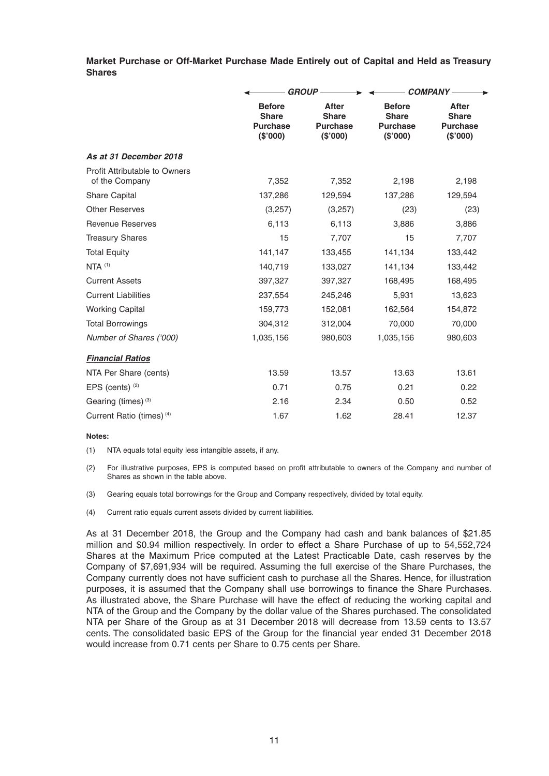**Market Purchase or Off-Market Purchase Made Entirely out of Capital and Held as Treasury Shares**

|                                                        |                                                             | <b>GROUP-</b>                                               | <b>COMPANY-</b>                                              |                                                            |  |
|--------------------------------------------------------|-------------------------------------------------------------|-------------------------------------------------------------|--------------------------------------------------------------|------------------------------------------------------------|--|
|                                                        | <b>Before</b><br><b>Share</b><br><b>Purchase</b><br>(S'000) | <b>After</b><br><b>Share</b><br><b>Purchase</b><br>(\$'000) | <b>Before</b><br><b>Share</b><br><b>Purchase</b><br>(\$'000) | <b>After</b><br><b>Share</b><br><b>Purchase</b><br>(S'000) |  |
| As at 31 December 2018                                 |                                                             |                                                             |                                                              |                                                            |  |
| <b>Profit Attributable to Owners</b><br>of the Company | 7,352                                                       | 7,352                                                       | 2,198                                                        | 2,198                                                      |  |
| <b>Share Capital</b>                                   | 137,286                                                     | 129,594                                                     | 137,286                                                      | 129,594                                                    |  |
| <b>Other Reserves</b>                                  | (3,257)                                                     | (3,257)                                                     | (23)                                                         | (23)                                                       |  |
| <b>Revenue Reserves</b>                                | 6,113                                                       | 6,113                                                       | 3,886                                                        | 3,886                                                      |  |
| <b>Treasury Shares</b>                                 | 15                                                          | 7,707                                                       | 15                                                           | 7,707                                                      |  |
| <b>Total Equity</b>                                    | 141,147                                                     | 133,455                                                     | 141,134                                                      | 133,442                                                    |  |
| $NTA$ $(1)$                                            | 140,719                                                     | 133,027                                                     | 141,134                                                      | 133,442                                                    |  |
| <b>Current Assets</b>                                  | 397,327                                                     | 397,327                                                     | 168,495                                                      | 168,495                                                    |  |
| <b>Current Liabilities</b>                             | 237,554                                                     | 245,246                                                     | 5,931                                                        | 13,623                                                     |  |
| <b>Working Capital</b>                                 | 159,773                                                     | 152,081                                                     | 162,564                                                      | 154,872                                                    |  |
| <b>Total Borrowings</b>                                | 304,312                                                     | 312,004                                                     | 70,000                                                       | 70,000                                                     |  |
| Number of Shares ('000)                                | 1,035,156                                                   | 980,603                                                     | 1,035,156                                                    | 980,603                                                    |  |
| <b>Financial Ratios</b>                                |                                                             |                                                             |                                                              |                                                            |  |
| NTA Per Share (cents)                                  | 13.59                                                       | 13.57                                                       | 13.63                                                        | 13.61                                                      |  |
| EPS (cents) $(2)$                                      | 0.71                                                        | 0.75                                                        | 0.21                                                         | 0.22                                                       |  |
| Gearing (times) (3)                                    | 2.16                                                        | 2.34                                                        | 0.50                                                         | 0.52                                                       |  |
| Current Ratio (times) (4)                              | 1.67                                                        | 1.62                                                        | 28.41                                                        | 12.37                                                      |  |

#### **Notes:**

(1) NTA equals total equity less intangible assets, if any.

- (2) For illustrative purposes, EPS is computed based on profit attributable to owners of the Company and number of Shares as shown in the table above.
- (3) Gearing equals total borrowings for the Group and Company respectively, divided by total equity.
- (4) Current ratio equals current assets divided by current liabilities.

 As at 31 December 2018, the Group and the Company had cash and bank balances of \$21 .85 million and \$0.94 million respectively. In order to effect a Share Purchase of up to 54,552,724 Shares at the Maximum Price computed at the Latest Practicable Date, cash reserves by the Company of \$7,691,934 will be required. Assuming the full exercise of the Share Purchases, the Company currently does not have sufficient cash to purchase all the Shares. Hence, for illustration purposes, it is assumed that the Company shall use borrowings to finance the Share Purchases. As illustrated above, the Share Purchase will have the effect of reducing the working capital and NTA of the Group and the Company by the dollar value of the Shares purchased. The consolidated NTA per Share of the Group as at 31 December 2018 will decrease from 13.59 cents to 13.57 cents. The consolidated basic EPS of the Group for the financial year ended 31 December 2018 would increase from 0.71 cents per Share to 0.75 cents per Share.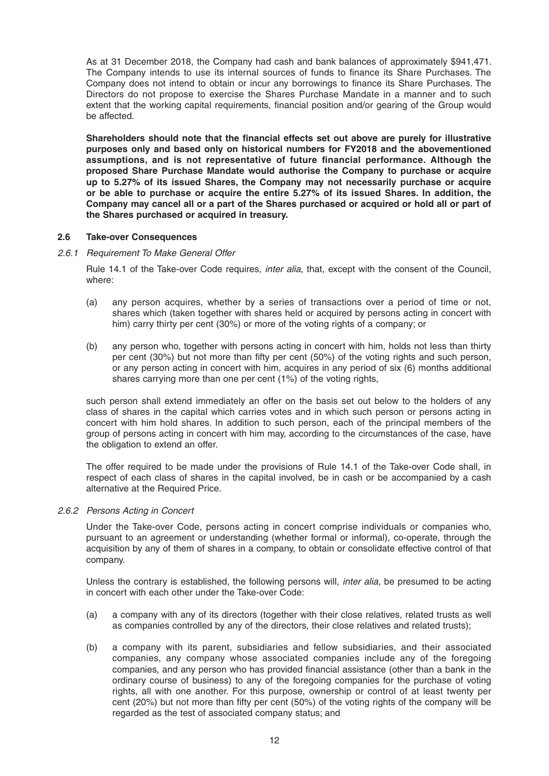As at 31 December 2018, the Company had cash and bank balances of approximately \$941,471. The Company intends to use its internal sources of funds to finance its Share Purchases. The Company does not intend to obtain or incur any borrowings to finance its Share Purchases. The Directors do not propose to exercise the Shares Purchase Mandate in a manner and to such extent that the working capital requirements, financial position and/or gearing of the Group would be affected.

Shareholders should note that the financial effects set out above are purely for illustrative **purposes only and based only on historical numbers for FY2018 and the abovementioned**  assumptions, and is not representative of future financial performance. Although the **proposed Share Purchase Mandate would authorise the Company to purchase or acquire up to 5.27% of its issued Shares, the Company may not necessarily purchase or acquire or be able to purchase or acquire the entire 5.27% of its issued Shares. In addition, the Company may cancel all or a part of the Shares purchased or acquired or hold all or part of the Shares purchased or acquired in treasury.**

#### **2.6 Take-over Consequences**

#### *2.6.1 Requirement To Make General Offer*

 Rule 14.1 of the Take-over Code requires, *inter alia*, that, except with the consent of the Council, where:

- (a) any person acquires, whether by a series of transactions over a period of time or not, shares which (taken together with shares held or acquired by persons acting in concert with him) carry thirty per cent (30%) or more of the voting rights of a company; or
- (b) any person who, together with persons acting in concert with him, holds not less than thirty per cent (30%) but not more than fifty per cent (50%) of the voting rights and such person, or any person acting in concert with him, acquires in any period of six (6) months additional shares carrying more than one per cent (1%) of the voting rights,

 such person shall extend immediately an offer on the basis set out below to the holders of any class of shares in the capital which carries votes and in which such person or persons acting in concert with him hold shares. In addition to such person, each of the principal members of the group of persons acting in concert with him may, according to the circumstances of the case, have the obligation to extend an offer.

 The offer required to be made under the provisions of Rule 14.1 of the Take-over Code shall, in respect of each class of shares in the capital involved, be in cash or be accompanied by a cash alternative at the Required Price.

## *2.6.2 Persons Acting in Concert*

Under the Take-over Code, persons acting in concert comprise individuals or companies who, pursuant to an agreement or understanding (whether formal or informal), co-operate, through the acquisition by any of them of shares in a company, to obtain or consolidate effective control of that company.

 Unless the contrary is established, the following persons will, *inter alia*, be presumed to be acting in concert with each other under the Take-over Code:

- (a) a company with any of its directors (together with their close relatives, related trusts as well as companies controlled by any of the directors, their close relatives and related trusts);
- (b) a company with its parent, subsidiaries and fellow subsidiaries, and their associated companies, any company whose associated companies include any of the foregoing companies, and any person who has provided financial assistance (other than a bank in the ordinary course of business) to any of the foregoing companies for the purchase of voting rights, all with one another. For this purpose, ownership or control of at least twenty per cent (20%) but not more than fifty per cent (50%) of the voting rights of the company will be regarded as the test of associated company status; and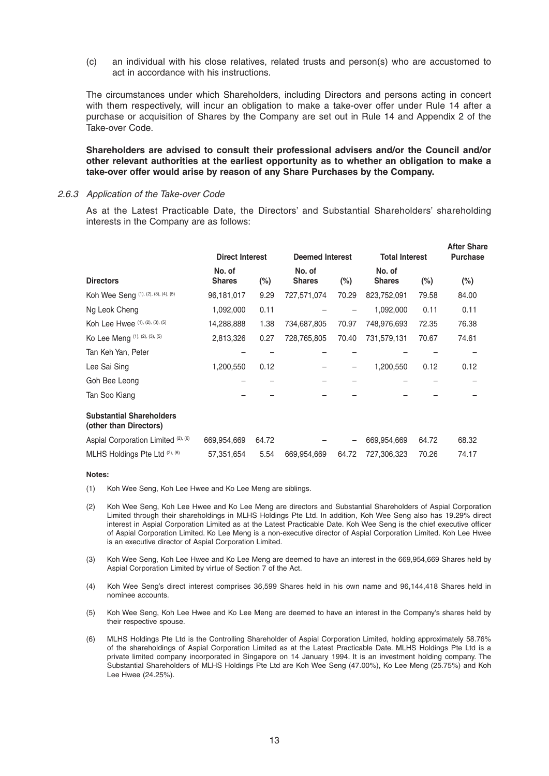(c) an individual with his close relatives, related trusts and person(s) who are accustomed to act in accordance with his instructions.

 The circumstances under which Shareholders, including Directors and persons acting in concert with them respectively, will incur an obligation to make a take-over offer under Rule 14 after a purchase or acquisition of Shares by the Company are set out in Rule 14 and Appendix 2 of the Take-over Code.

 **Shareholders are advised to consult their professional advisers and/or the Council and/or other relevant authorities at the earliest opportunity as to whether an obligation to make a take-over offer would arise by reason of any Share Purchases by the Company.**

#### *2.6.3 Application of the Take-over Code*

 As at the Latest Practicable Date, the Directors' and Substantial Shareholders' shareholding interests in the Company are as follows:

|                                                           |                         |        |                         |        |                         |        | <b>After Share</b> |
|-----------------------------------------------------------|-------------------------|--------|-------------------------|--------|-------------------------|--------|--------------------|
|                                                           | <b>Direct Interest</b>  |        | <b>Deemed Interest</b>  |        | <b>Total Interest</b>   |        | <b>Purchase</b>    |
| <b>Directors</b>                                          | No. of<br><b>Shares</b> | $(\%)$ | No. of<br><b>Shares</b> | $(\%)$ | No. of<br><b>Shares</b> | $(\%)$ | (%)                |
| Koh Wee Seng (1), (2), (3), (4), (5)                      | 96,181,017              | 9.29   | 727,571,074             | 70.29  | 823,752,091             | 79.58  | 84.00              |
| Ng Leok Cheng                                             | 1,092,000               | 0.11   |                         |        | 1,092,000               | 0.11   | 0.11               |
| Koh Lee Hwee (1), (2), (3), (5)                           | 14,288,888              | 1.38   | 734,687,805             | 70.97  | 748,976,693             | 72.35  | 76.38              |
| Ko Lee Meng (1), (2), (3), (5)                            | 2,813,326               | 0.27   | 728,765,805             | 70.40  | 731,579,131             | 70.67  | 74.61              |
| Tan Keh Yan, Peter                                        |                         |        |                         |        |                         |        |                    |
| Lee Sai Sing                                              | 1,200,550               | 0.12   |                         | —      | 1,200,550               | 0.12   | 0.12               |
| Goh Bee Leong                                             |                         |        |                         |        |                         |        |                    |
| Tan Soo Kiang                                             |                         |        |                         |        |                         |        |                    |
| <b>Substantial Shareholders</b><br>(other than Directors) |                         |        |                         |        |                         |        |                    |
| Aspial Corporation Limited (2), (6)                       | 669,954,669             | 64.72  |                         |        | 669,954,669             | 64.72  | 68.32              |
| MLHS Holdings Pte Ltd (2), (6)                            | 57,351,654              | 5.54   | 669,954,669             | 64.72  | 727,306,323             | 70.26  | 74.17              |
|                                                           |                         |        |                         |        |                         |        |                    |

#### **Notes:**

- (1) Koh Wee Seng, Koh Lee Hwee and Ko Lee Meng are siblings.
- (2) Koh Wee Seng, Koh Lee Hwee and Ko Lee Meng are directors and Substantial Shareholders of Aspial Corporation Limited through their shareholdings in MLHS Holdings Pte Ltd. In addition, Koh Wee Seng also has 19.29% direct interest in Aspial Corporation Limited as at the Latest Practicable Date. Koh Wee Seng is the chief executive officer of Aspial Corporation Limited. Ko Lee Meng is a non-executive director of Aspial Corporation Limited. Koh Lee Hwee is an executive director of Aspial Corporation Limited.
- (3) Koh Wee Seng, Koh Lee Hwee and Ko Lee Meng are deemed to have an interest in the 669,954,669 Shares held by Aspial Corporation Limited by virtue of Section 7 of the Act.
- (4) Koh Wee Seng's direct interest comprises 36,599 Shares held in his own name and 96,144,418 Shares held in nominee accounts.
- (5) Koh Wee Seng, Koh Lee Hwee and Ko Lee Meng are deemed to have an interest in the Company's shares held by their respective spouse.
- (6) MLHS Holdings Pte Ltd is the Controlling Shareholder of Aspial Corporation Limited, holding approximately 58.76% of the shareholdings of Aspial Corporation Limited as at the Latest Practicable Date. MLHS Holdings Pte Ltd is a private limited company incorporated in Singapore on 14 January 1994. It is an investment holding company. The Substantial Shareholders of MLHS Holdings Pte Ltd are Koh Wee Seng (47.00%), Ko Lee Meng (25.75%) and Koh Lee Hwee (24.25%).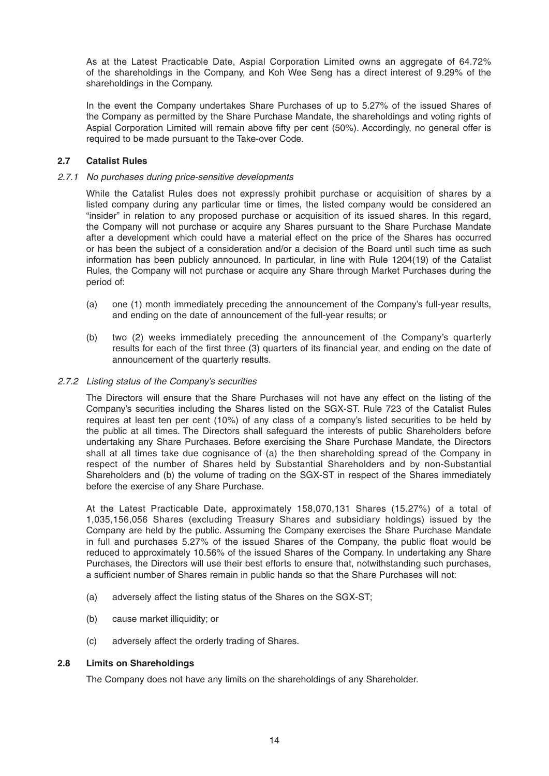As at the Latest Practicable Date, Aspial Corporation Limited owns an aggregate of 64.72% of the shareholdings in the Company, and Koh Wee Seng has a direct interest of 9.29% of the shareholdings in the Company.

 In the event the Company undertakes Share Purchases of up to 5.27% of the issued Shares of the Company as permitted by the Share Purchase Mandate, the shareholdings and voting rights of Aspial Corporation Limited will remain above fifty per cent (50%). Accordingly, no general offer is required to be made pursuant to the Take-over Code.

## **2.7 Catalist Rules**

#### *2.7.1 No purchases during price-sensitive developments*

 While the Catalist Rules does not expressly prohibit purchase or acquisition of shares by a listed company during any particular time or times, the listed company would be considered an "insider" in relation to any proposed purchase or acquisition of its issued shares. In this regard, the Company will not purchase or acquire any Shares pursuant to the Share Purchase Mandate after a development which could have a material effect on the price of the Shares has occurred or has been the subject of a consideration and/or a decision of the Board until such time as such information has been publicly announced. In particular, in line with Rule 1204(19) of the Catalist Rules, the Company will not purchase or acquire any Share through Market Purchases during the period of:

- (a) one (1) month immediately preceding the announcement of the Company's full-year results, and ending on the date of announcement of the full-year results; or
- (b) two (2) weeks immediately preceding the announcement of the Company's quarterly results for each of the first three (3) quarters of its financial year, and ending on the date of announcement of the quarterly results.

#### *2.7.2 Listing status of the Company's securities*

 The Directors will ensure that the Share Purchases will not have any effect on the listing of the Company's securities including the Shares listed on the SGX-ST. Rule 723 of the Catalist Rules requires at least ten per cent (10%) of any class of a company's listed securities to be held by the public at all times. The Directors shall safeguard the interests of public Shareholders before undertaking any Share Purchases. Before exercising the Share Purchase Mandate, the Directors shall at all times take due cognisance of (a) the then shareholding spread of the Company in respect of the number of Shares held by Substantial Shareholders and by non-Substantial Shareholders and (b) the volume of trading on the SGX-ST in respect of the Shares immediately before the exercise of any Share Purchase.

 At the Latest Practicable Date, approximately 158,070,131 Shares (15.27%) of a total of 1,035,156,056 Shares (excluding Treasury Shares and subsidiary holdings) issued by the Company are held by the public. Assuming the Company exercises the Share Purchase Mandate in full and purchases 5.27% of the issued Shares of the Company, the public float would be reduced to approximately 10.56% of the issued Shares of the Company. In undertaking any Share Purchases, the Directors will use their best efforts to ensure that, notwithstanding such purchases, a sufficient number of Shares remain in public hands so that the Share Purchases will not:

- (a) adversely affect the listing status of the Shares on the SGX-ST;
- (b) cause market illiquidity; or
- (c) adversely affect the orderly trading of Shares.

#### **2.8 Limits on Shareholdings**

The Company does not have any limits on the shareholdings of any Shareholder.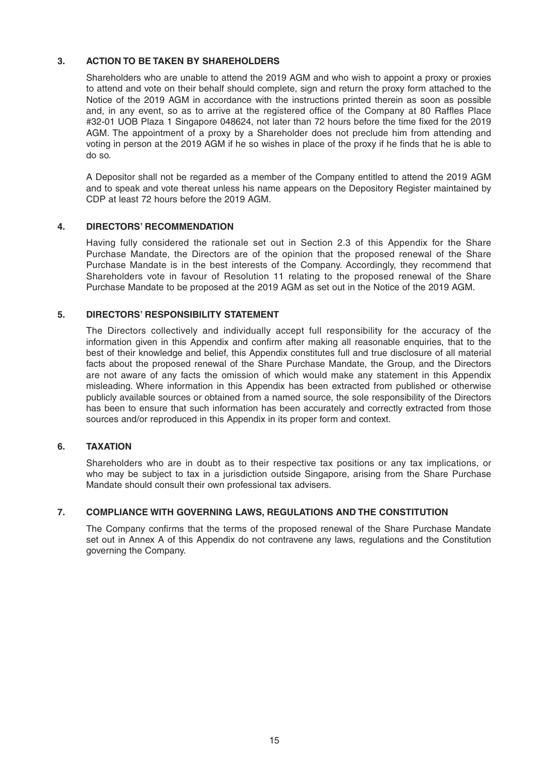## **3. ACTION TO BE TAKEN BY SHAREHOLDERS**

 Shareholders who are unable to attend the 2019 AGM and who wish to appoint a proxy or proxies to attend and vote on their behalf should complete, sign and return the proxy form attached to the Notice of the 2019 AGM in accordance with the instructions printed therein as soon as possible and, in any event, so as to arrive at the registered office of the Company at 80 Raffles Place #32-01 UOB Plaza 1 Singapore 048624, not later than 72 hours before the time fixed for the 2019 AGM. The appointment of a proxy by a Shareholder does not preclude him from attending and voting in person at the 2019 AGM if he so wishes in place of the proxy if he finds that he is able to do so.

 A Depositor shall not be regarded as a member of the Company entitled to attend the 2019 AGM and to speak and vote thereat unless his name appears on the Depository Register maintained by CDP at least 72 hours before the 2019 AGM.

# **4. DIRECTORS' RECOMMENDATION**

 Having fully considered the rationale set out in Section 2.3 of this Appendix for the Share Purchase Mandate, the Directors are of the opinion that the proposed renewal of the Share Purchase Mandate is in the best interests of the Company. Accordingly, they recommend that Shareholders vote in favour of Resolution 11 relating to the proposed renewal of the Share Purchase Mandate to be proposed at the 2019 AGM as set out in the Notice of the 2019 AGM.

# **5. DIRECTORS' RESPONSIBILITY STATEMENT**

 The Directors collectively and individually accept full responsibility for the accuracy of the information given in this Appendix and confirm after making all reasonable enquiries, that to the best of their knowledge and belief, this Appendix constitutes full and true disclosure of all material facts about the proposed renewal of the Share Purchase Mandate, the Group, and the Directors are not aware of any facts the omission of which would make any statement in this Appendix misleading. Where information in this Appendix has been extracted from published or otherwise publicly available sources or obtained from a named source, the sole responsibility of the Directors has been to ensure that such information has been accurately and correctly extracted from those sources and/or reproduced in this Appendix in its proper form and context.

## **6. TAXATION**

 Shareholders who are in doubt as to their respective tax positions or any tax implications, or who may be subject to tax in a jurisdiction outside Singapore, arising from the Share Purchase Mandate should consult their own professional tax advisers.

## **7. COMPLIANCE WITH GOVERNING LAWS, REGULATIONS AND THE CONSTITUTION**

The Company confirms that the terms of the proposed renewal of the Share Purchase Mandate set out in Annex A of this Appendix do not contravene any laws, regulations and the Constitution governing the Company.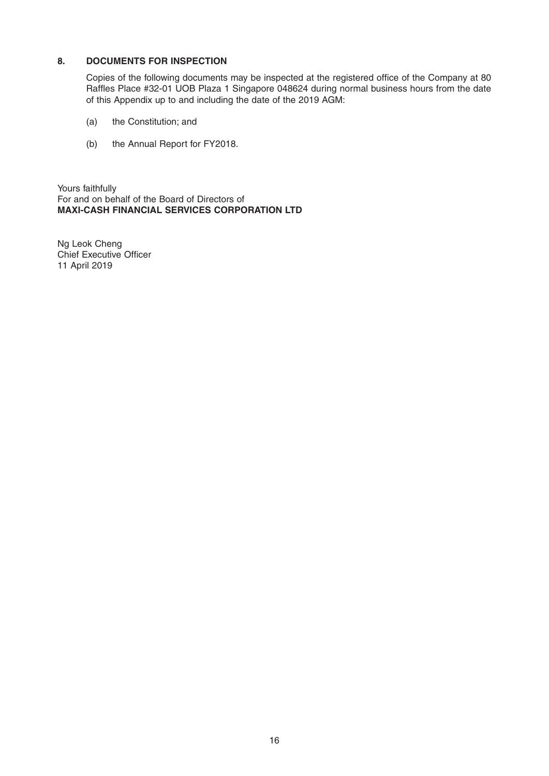# **8. DOCUMENTS FOR INSPECTION**

Copies of the following documents may be inspected at the registered office of the Company at 80 Raffles Place #32-01 UOB Plaza 1 Singapore 048624 during normal business hours from the date of this Appendix up to and including the date of the 2019 AGM:

- (a) the Constitution; and
- (b) the Annual Report for FY2018.

Yours faithfully For and on behalf of the Board of Directors of **MAXI-CASH FINANCIAL SERVICES CORPORATION LTD**

Ng Leok Cheng Chief Executive Officer 11 April 2019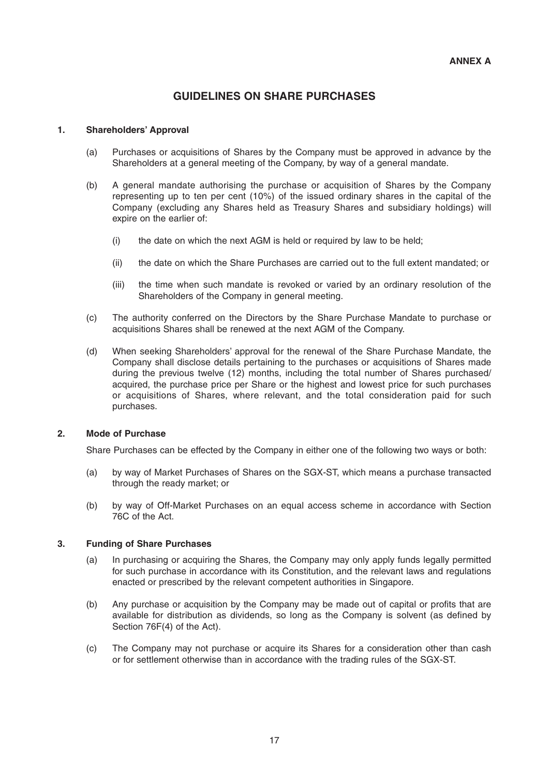# **GUIDELINES ON SHARE PURCHASES**

#### **1. Shareholders' Approval**

- (a) Purchases or acquisitions of Shares by the Company must be approved in advance by the Shareholders at a general meeting of the Company, by way of a general mandate.
- (b) A general mandate authorising the purchase or acquisition of Shares by the Company representing up to ten per cent (10%) of the issued ordinary shares in the capital of the Company (excluding any Shares held as Treasury Shares and subsidiary holdings) will expire on the earlier of:
	- (i) the date on which the next AGM is held or required by law to be held;
	- (ii) the date on which the Share Purchases are carried out to the full extent mandated; or
	- (iii) the time when such mandate is revoked or varied by an ordinary resolution of the Shareholders of the Company in general meeting.
- (c) The authority conferred on the Directors by the Share Purchase Mandate to purchase or acquisitions Shares shall be renewed at the next AGM of the Company.
- (d) When seeking Shareholders' approval for the renewal of the Share Purchase Mandate, the Company shall disclose details pertaining to the purchases or acquisitions of Shares made during the previous twelve (12) months, including the total number of Shares purchased/ acquired, the purchase price per Share or the highest and lowest price for such purchases or acquisitions of Shares, where relevant, and the total consideration paid for such purchases.

#### **2. Mode of Purchase**

Share Purchases can be effected by the Company in either one of the following two ways or both:

- (a) by way of Market Purchases of Shares on the SGX-ST, which means a purchase transacted through the ready market; or
- (b) by way of Off- Market Purchases on an equal access scheme in accordance with Section 76C of the Act.

## **3. Funding of Share Purchases**

- (a) In purchasing or acquiring the Shares, the Company may only apply funds legally permitted for such purchase in accordance with its Constitution, and the relevant laws and regulations enacted or prescribed by the relevant competent authorities in Singapore.
- (b) Any purchase or acquisition by the Company may be made out of capital or profits that are available for distribution as dividends, so long as the Company is solvent (as defined by Section 76F(4) of the Act).
- (c) The Company may not purchase or acquire its Shares for a consideration other than cash or for settlement otherwise than in accordance with the trading rules of the SGX-ST.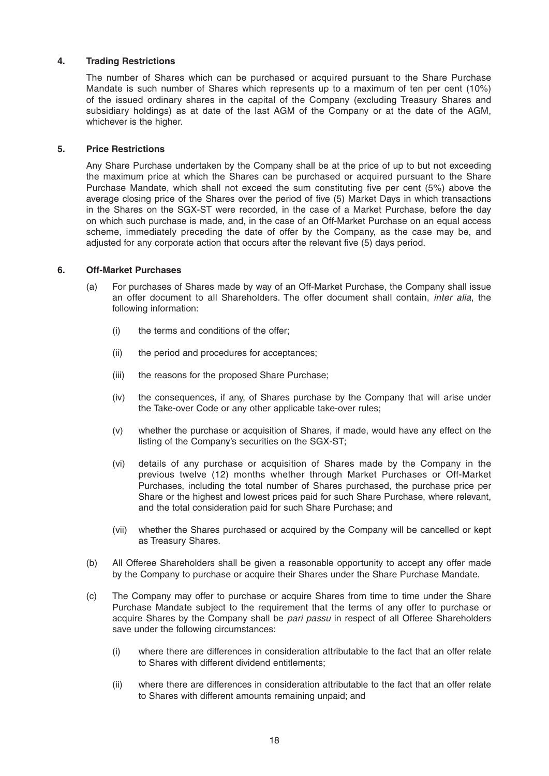## **4. Trading Restrictions**

 The number of Shares which can be purchased or acquired pursuant to the Share Purchase Mandate is such number of Shares which represents up to a maximum of ten per cent (10%) of the issued ordinary shares in the capital of the Company (excluding Treasury Shares and subsidiary holdings) as at date of the last AGM of the Company or at the date of the AGM, whichever is the higher.

#### **5. Price Restrictions**

 Any Share Purchase undertaken by the Company shall be at the price of up to but not exceeding the maximum price at which the Shares can be purchased or acquired pursuant to the Share Purchase Mandate, which shall not exceed the sum constituting five per cent (5%) above the average closing price of the Shares over the period of five (5) Market Days in which transactions in the Shares on the SGX-ST were recorded, in the case of a Market Purchase, before the day on which such purchase is made, and, in the case of an Off-Market Purchase on an equal access scheme, immediately preceding the date of offer by the Company, as the case may be, and adjusted for any corporate action that occurs after the relevant five (5) days period.

#### **6. Off-Market Purchases**

- (a) For purchases of Shares made by way of an Off-Market Purchase, the Company shall issue an offer document to all Shareholders. The offer document shall contain, *inter alia*, the following information:
	- (i) the terms and conditions of the offer;
	- (ii) the period and procedures for acceptances;
	- (iii) the reasons for the proposed Share Purchase;
	- (iv) the consequences, if any, of Shares purchase by the Company that will arise under the Take-over Code or any other applicable take-over rules;
	- (v) whether the purchase or acquisition of Shares, if made, would have any effect on the listing of the Company's securities on the SGX-ST;
	- (vi) details of any purchase or acquisition of Shares made by the Company in the previous twelve (12) months whether through Market Purchases or Off-Market Purchases, including the total number of Shares purchased, the purchase price per Share or the highest and lowest prices paid for such Share Purchase, where relevant, and the total consideration paid for such Share Purchase; and
	- (vii) whether the Shares purchased or acquired by the Company will be cancelled or kept as Treasury Shares.
- (b) All Offeree Shareholders shall be given a reasonable opportunity to accept any offer made by the Company to purchase or acquire their Shares under the Share Purchase Mandate.
- (c) The Company may offer to purchase or acquire Shares from time to time under the Share Purchase Mandate subject to the requirement that the terms of any offer to purchase or acquire Shares by the Company shall be *pari passu* in respect of all Offeree Shareholders save under the following circumstances:
	- (i) where there are differences in consideration attributable to the fact that an offer relate to Shares with different dividend entitlements;
	- (ii) where there are differences in consideration attributable to the fact that an offer relate to Shares with different amounts remaining unpaid; and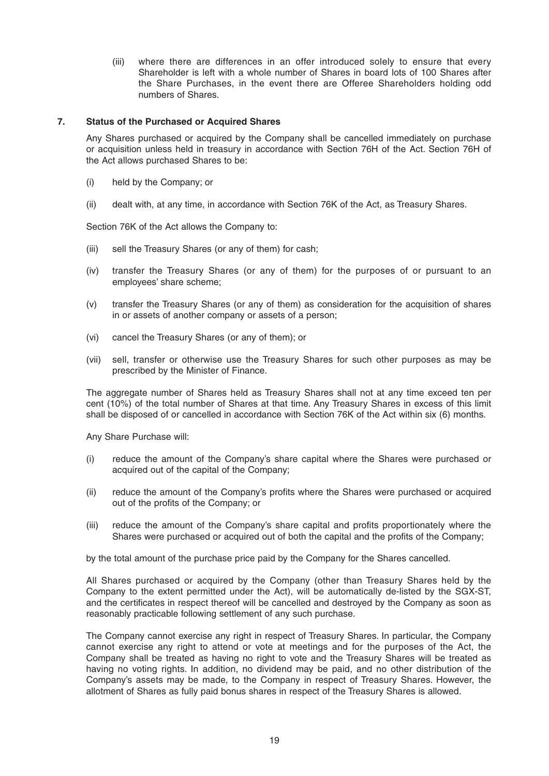(iii) where there are differences in an offer introduced solely to ensure that every Shareholder is left with a whole number of Shares in board lots of 100 Shares after the Share Purchases, in the event there are Offeree Shareholders holding odd numbers of Shares.

#### **7. Status of the Purchased or Acquired Shares**

 Any Shares purchased or acquired by the Company shall be cancelled immediately on purchase or acquisition unless held in treasury in accordance with Section 76H of the Act. Section 76H of the Act allows purchased Shares to be:

- (i) held by the Company; or
- (ii) dealt with, at any time, in accordance with Section 76K of the Act, as Treasury Shares.

Section 76K of the Act allows the Company to:

- (iii) sell the Treasury Shares (or any of them) for cash;
- (iv) transfer the Treasury Shares (or any of them) for the purposes of or pursuant to an employees' share scheme;
- (v) transfer the Treasury Shares (or any of them) as consideration for the acquisition of shares in or assets of another company or assets of a person;
- (vi) cancel the Treasury Shares (or any of them); or
- (vii) sell, transfer or otherwise use the Treasury Shares for such other purposes as may be prescribed by the Minister of Finance.

 The aggregate number of Shares held as Treasury Shares shall not at any time exceed ten per cent (10%) of the total number of Shares at that time. Any Treasury Shares in excess of this limit shall be disposed of or cancelled in accordance with Section 76K of the Act within six (6) months.

Any Share Purchase will:

- (i) reduce the amount of the Company's share capital where the Shares were purchased or acquired out of the capital of the Company;
- (ii) reduce the amount of the Company's profits where the Shares were purchased or acquired out of the profits of the Company; or
- (iii) reduce the amount of the Company's share capital and profits proportionately where the Shares were purchased or acquired out of both the capital and the profits of the Company;

by the total amount of the purchase price paid by the Company for the Shares cancelled.

 All Shares purchased or acquired by the Company (other than Treasury Shares held by the Company to the extent permitted under the Act), will be automatically de-listed by the SGX-ST, and the certificates in respect thereof will be cancelled and destroyed by the Company as soon as reasonably practicable following settlement of any such purchase.

 The Company cannot exercise any right in respect of Treasury Shares. In particular, the Company cannot exercise any right to attend or vote at meetings and for the purposes of the Act, the Company shall be treated as having no right to vote and the Treasury Shares will be treated as having no voting rights. In addition, no dividend may be paid, and no other distribution of the Company's assets may be made, to the Company in respect of Treasury Shares. However, the allotment of Shares as fully paid bonus shares in respect of the Treasury Shares is allowed.